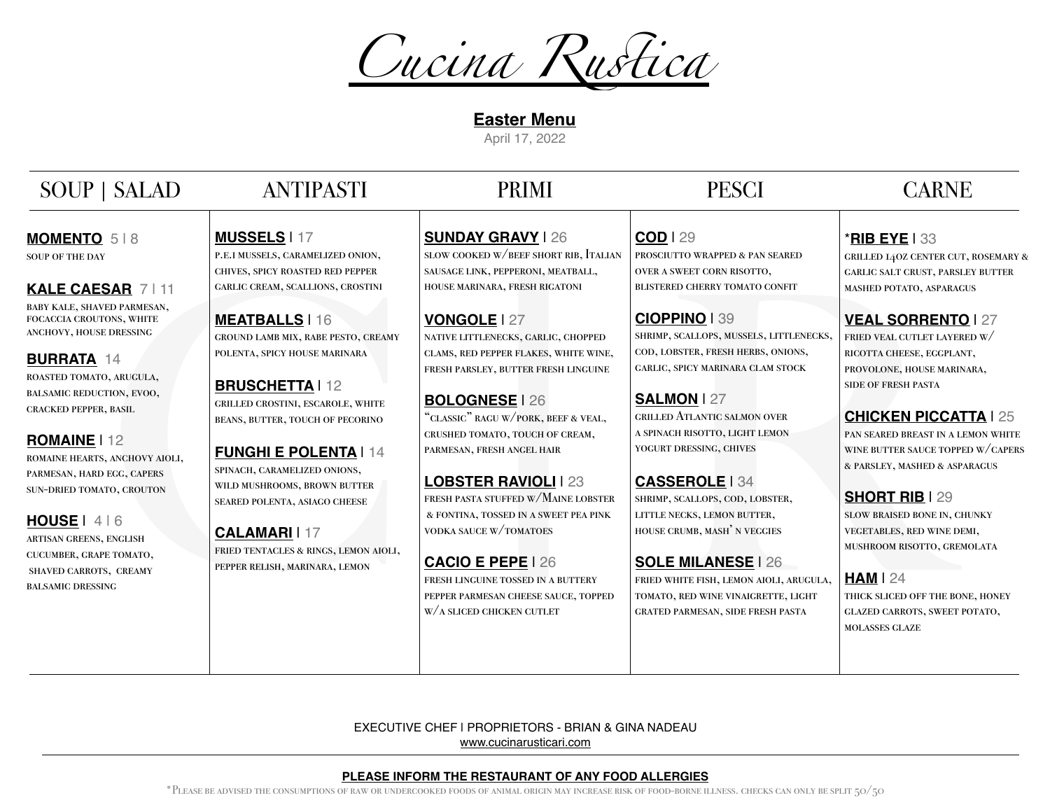

**Easter Menu**

April 17, 2022

## SOUP | SALAD ANTIPASTI PRIMI PESCI CARNE

**MOMENTO** 5 | 8 soup of the day

**KALE CAESAR** 7 | 11 baby kale, shaved parmesan, focaccia croutons, white anchovy, house dressing

**BURRATA** 14 roasted tomato, arugula, balsamic reduction, evoo, cracked pepper, basil

**ROMAINE** | 12 romaine hearts, anchovy aioli, parmesan, hard egg, capers sun-dried tomato, crouton

**HOUSE** | 4 | 6 artisan greens, english cucumber, grape tomato, shaved carrots, creamy balsamic dressing

**MUSSELS** | 17 p.e.i mussels, caramelized onion, chives, spicy roasted red pepper garlic cream, scallions, crostini

**MEATBALLS** | 16 ground lamb mix, rabe pesto, creamy polenta, spicy house marinara

**BRUSCHETTA** | 12 grilled crostini, escarole, white beans, butter, touch of pecorino

**FUNGHI E POLENTA** | 14 spinach, caramelized onions, wild mushrooms, brown butter seared polenta, asiago cheese

**CALAMARI** | 17 fried tentacles & rings, lemon aioli, pepper relish, marinara, lemon

**SUNDAY GRAVY** | 26

slow cooked w/beef short rib, Italian sausage link, pepperoni, meatball, house marinara, fresh rigatoni

**VONGOLE** | 27 native littlenecks, garlic, chopped clams, red pepper flakes, white wine, fresh parsley, butter fresh linguine

**BOLOGNESE** | 26 "classic" ragu w/pork, beef & veal, crushed tomato, touch of cream, parmesan, fresh angel hair

**LOBSTER RAVIOLI** | 23 fresh pasta stuffed w/Maine lobster & fontina, tossed in a sweet pea pink vodka sauce w/tomatoes

**CACIO E PEPE** | 26 fresh linguine tossed in a buttery pepper parmesan cheese sauce, topped w/a sliced chicken cutlet

**COD** | 29 prosciutto wrapped & pan seared over a sweet corn risotto, BLISTERED CHERRY TOMATO CONFIT

**CIOPPINO** | 39 shrimp, scallops, mussels, littlenecks, cod, lobster, fresh herbs, onions, garlic, spicy marinara clam stock

**SALMON** | 27 grilled Atlantic salmon over a spinach risotto, light lemon yogurt dressing, chives

**CASSEROLE** | 34 shrimp, scallops, cod, lobster, little necks, lemon butter, house crumb, mash' n veggies

**SOLE MILANESE** | 26 fried white fish, lemon aioli, arugula, tomato, red wine vinaigrette, light grated parmesan, side fresh pasta **AREATERIMES.**<br>
CONSIDERIBATE CONFINING SALEMONS AREADS AND ANNOUNCE AND CONFINER CONFINING AND CONFINER CONFINER CONFINER CONFINER (2012)<br>
CONFINING A SUPERFEIT AND CONFINER CONFINER CONFINER CONFINENCING CONFINER AND CO

\***RIB EYE** | 33 grilled 14oz center cut, rosemary &

garlic salt crust, parsley butter mashed potato, asparagus **VEAL SORRENTO** | 27

fried veal cutlet layered w/ ricotta cheese, eggplant, provolone, house marinara, side of fresh pasta

**CHICKEN PICCATTA** | 25 pan seared breast in a lemon white wine butter sauce topped w/capers & parsley, mashed & asparagus

**SHORT RIB** | 29 slow braised bone in, chunky vegetables, red wine demi, mushroom risotto, gremolata

**HAM** | 24 thick sliced off the bone, honey glazed carrots, sweet potato, molasses glaze

EXECUTIVE CHEF | PROPRIETORS - BRIAN & GINA NADEAU [www.cucinarusticari.com](http://www.cucinarusticari.com)

#### **PLEASE INFORM THE RESTAURANT OF ANY FOOD ALLERGIES**

\*Please be advised the consumptions of raw or undercooked foods of animal origin may increase risk of food-borne illness. checks can only be split 50/50